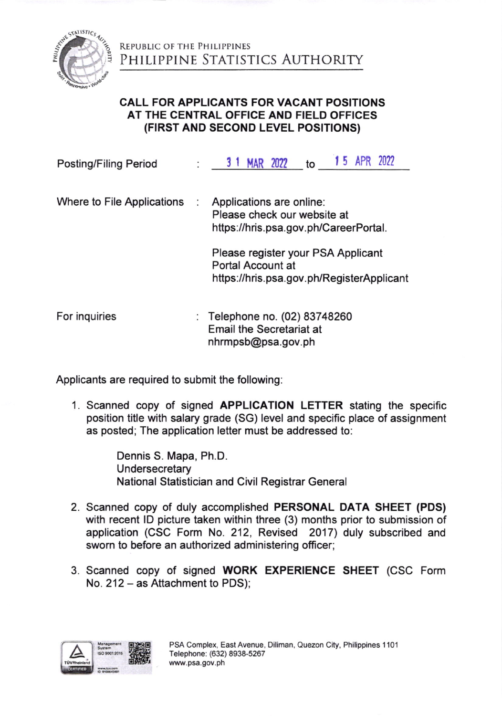

REPUBLIC OF THE PHILIPPINES AUTHORITY

## CALL FOR APPLIGANTS FOR VACANT POSITIONS AT THE CENTRAL OFFICE AND FIELD OFFICES (FIRST AND SECOND LEVEL POSITIONS)

| <b>Posting/Filing Period</b> | <b>15 APR 2022</b><br>3 1 MAR 2022<br>to                                                             |
|------------------------------|------------------------------------------------------------------------------------------------------|
| Where to File Applications   | Applications are online:<br>Please check our website at<br>https://hris.psa.gov.ph/CareerPortal.     |
|                              | Please register your PSA Applicant<br>Portal Account at<br>https://hris.psa.gov.ph/RegisterApplicant |
| For inquiries                | : Telephone no. (02) 83748260<br><b>Email the Secretariat at</b><br>nhrmpsb@psa.gov.ph               |

Applicants are required to submit the following

1. Scanned copy of signed APPLICATION LETTER stating the specific position title with salary grade (SG) level and specific place of assignment as posted; The application letter must be addressed to:

> Dennis S. Mapa, Ph.D. Undersecretary National Statistician and Civil Registrar General

- 2. Scanned copy of duly accomplished PERSONAL DATA SHEET (PDS) with recent lD picture taken within three (3) months prior to submission of application (CSC Form No. 212, Revised 2017) duly subscribed and sworn to before an authorized administering officer;
- 3. Scanned copy of signed WORK EXPERIENCE SHEET (CSC Form No. 212 - as Attachment to PDS);

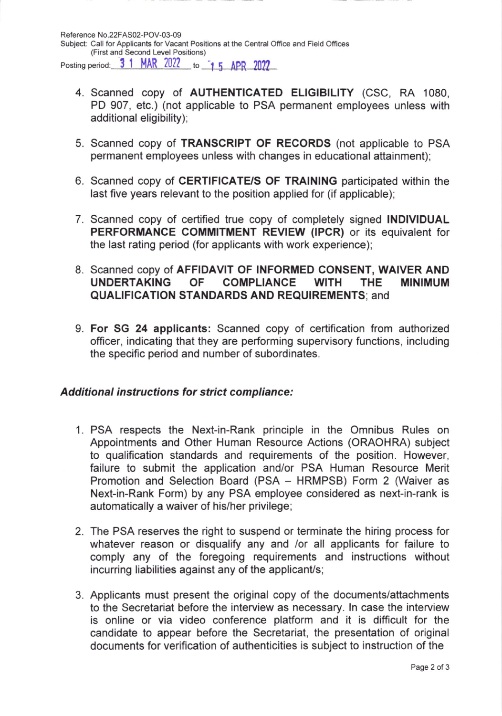- 4. Scanned copy of AUTHENTICATED ELIGIBILITY (CSC, RA 1080, PD 907, etc.) (not applicable to PSA permanent employees unless with additional eligibility);
- 5. Scanned copy of TRANSCRIPT OF RECORDS (not applicable to PSA permanent employees unless with changes in educational attainment);
- 6. Scanned copy of CERTIFICATE/S OF TRAINING participated within the last five years relevant to the position applied for (if applicable);
- 7. Scanned copy of certified true copy of completely signed INDIVIDUAL PERFORMANCE COMMITMENT REVIEW (IPCR) or its equivalent for the last rating period (for applicants with work experience);
- 8. Scanned copy of AFFIDAVIT OF INFORMED CONSENT, WAIVER AND UNDERTAKING OF COMPLIANCE WITH THE MINIMUM QUALIFICATION STANDARDS AND REQUIREMENTS; and
- 9. For SG 24 applicants: Scanned copy of certification from authorized officer, indicating that they are performing supervisory functions, including the specific period and number of subordinates.

## Additional instructions for strict compliance:

- 1. PSA respects the Next-in-Rank principle in the Omnibus Rules on Appointments and Other Human Resource Actions (ORAOHRA) subject to qualification standards and requirements of the position. However, failure to submit the application and/or PSA Human Resource Merit Promotion and Selection Board (PSA - HRMPSB) Form 2 (Waiver as Next-in-Rank Form) by any PSA employee considered as next-in-rank is automatically a waiver of his/her privilege;
- 2. The PSA reserves the right to suspend or terminate the hiring process for whatever reason or disqualify any and /or all applicants for failure to comply any of the foregoing requirements and instructions without incurring liabilities against any of the applicant/s;
- 3. Applicants must present the original copy of the documents/attachments to the Secretariat before the interview as necessary. ln case the interview is online or via video conference platform and it is difficult for the candidate to appear before the Secretariat, the presentation of original documents for verification of authenticities is subject to instruction of the